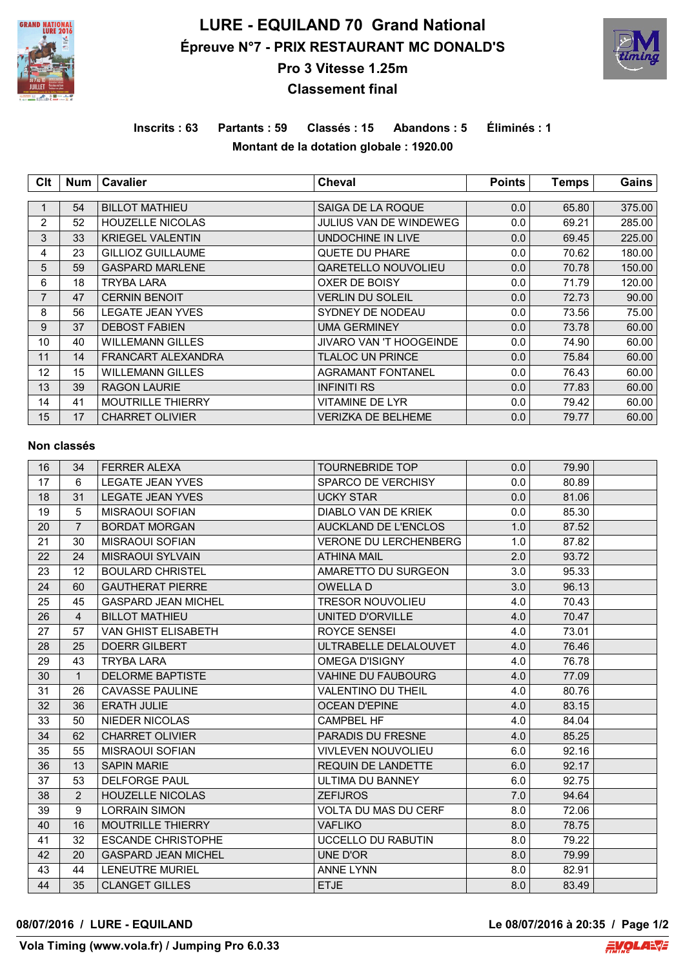

# **LURE - EQUILAND 70 Grand National Épreuve N°7 - PRIX RESTAURANT MC DONALD'S**



## **Pro 3 Vitesse 1.25m Classement final**

## **Inscrits : 63 Partants : 59 Classés : 15 Abandons : 5 Éliminés : 1 Montant de la dotation globale : 1920.00**

| Clt            | <b>Num</b> | Cavalier                  | <b>Cheval</b>                 | <b>Points</b> | <b>Temps</b> | Gains  |
|----------------|------------|---------------------------|-------------------------------|---------------|--------------|--------|
|                |            |                           |                               |               |              |        |
|                | 54         | <b>BILLOT MATHIEU</b>     | SAIGA DE LA ROQUE             | 0.0           | 65.80        | 375.00 |
| $\overline{2}$ | 52         | <b>HOUZELLE NICOLAS</b>   | <b>JULIUS VAN DE WINDEWEG</b> | 0.0           | 69.21        | 285.00 |
| 3              | 33         | <b>KRIEGEL VALENTIN</b>   | UNDOCHINE IN LIVE             | 0.0           | 69.45        | 225.00 |
| 4              | 23         | <b>GILLIOZ GUILLAUME</b>  | QUETE DU PHARE                | 0.0           | 70.62        | 180.00 |
| 5              | 59         | <b>GASPARD MARLENE</b>    | QARETELLO NOUVOLIEU           | 0.0           | 70.78        | 150.00 |
| 6              | 18         | TRYBA LARA                | OXER DE BOISY                 | 0.0           | 71.79        | 120.00 |
| $\overline{7}$ | 47         | <b>CERNIN BENOIT</b>      | VERLIN DU SOLEIL              | 0.0           | 72.73        | 90.00  |
| 8              | 56         | <b>LEGATE JEAN YVES</b>   | SYDNEY DE NODEAU              | 0.0           | 73.56        | 75.00  |
| 9              | 37         | <b>DEBOST FABIEN</b>      | UMA GERMINEY                  | 0.0           | 73.78        | 60.00  |
| 10             | 40         | <b>WILLEMANN GILLES</b>   | JIVARO VAN 'T HOOGEINDE       | 0.0           | 74.90        | 60.00  |
| 11             | 14         | <b>FRANCART ALEXANDRA</b> | TLALOC UN PRINCE              | 0.0           | 75.84        | 60.00  |
| 12             | 15         | <b>WILLEMANN GILLES</b>   | <b>AGRAMANT FONTANEL</b>      | 0.0           | 76.43        | 60.00  |
| 13             | 39         | <b>RAGON LAURIE</b>       | <b>INFINITI RS</b>            | 0.0           | 77.83        | 60.00  |
| 14             | 41         | <b>MOUTRILLE THIERRY</b>  | VITAMINE DE LYR               | 0.0           | 79.42        | 60.00  |
| 15             | 17         | <b>CHARRET OLIVIER</b>    | VERIZKA DE BELHEME            | 0.0           | 79.77        | 60.00  |

#### **Non classés**

| 16 | 34             | <b>FERRER ALEXA</b>        | <b>TOURNEBRIDE TOP</b>       | 0.0 | 79.90 |  |
|----|----------------|----------------------------|------------------------------|-----|-------|--|
| 17 | 6              | <b>LEGATE JEAN YVES</b>    | SPARCO DE VERCHISY           | 0.0 | 80.89 |  |
| 18 | 31             | <b>LEGATE JEAN YVES</b>    | <b>UCKY STAR</b>             | 0.0 | 81.06 |  |
| 19 | 5              | <b>MISRAOUI SOFIAN</b>     | DIABLO VAN DE KRIEK          | 0.0 | 85.30 |  |
| 20 | $\overline{7}$ | <b>BORDAT MORGAN</b>       | <b>AUCKLAND DE L'ENCLOS</b>  | 1.0 | 87.52 |  |
| 21 | 30             | <b>MISRAOUI SOFIAN</b>     | <b>VERONE DU LERCHENBERG</b> | 1.0 | 87.82 |  |
| 22 | 24             | <b>MISRAOUI SYLVAIN</b>    | <b>ATHINA MAIL</b>           | 2.0 | 93.72 |  |
| 23 | 12             | <b>BOULARD CHRISTEL</b>    | AMARETTO DU SURGEON          | 3.0 | 95.33 |  |
| 24 | 60             | <b>GAUTHERAT PIERRE</b>    | <b>OWELLAD</b>               | 3.0 | 96.13 |  |
| 25 | 45             | <b>GASPARD JEAN MICHEL</b> | <b>TRESOR NOUVOLIEU</b>      | 4.0 | 70.43 |  |
| 26 | 4              | <b>BILLOT MATHIEU</b>      | UNITED D'ORVILLE             | 4.0 | 70.47 |  |
| 27 | 57             | VAN GHIST ELISABETH        | ROYCE SENSEI                 | 4.0 | 73.01 |  |
| 28 | 25             | <b>DOERR GILBERT</b>       | ULTRABELLE DELALOUVET        | 4.0 | 76.46 |  |
| 29 | 43             | <b>TRYBA LARA</b>          | <b>OMEGA D'ISIGNY</b>        | 4.0 | 76.78 |  |
| 30 | $\mathbf{1}$   | <b>DELORME BAPTISTE</b>    | <b>VAHINE DU FAUBOURG</b>    | 4.0 | 77.09 |  |
| 31 | 26             | <b>CAVASSE PAULINE</b>     | <b>VALENTINO DU THEIL</b>    | 4.0 | 80.76 |  |
| 32 | 36             | <b>ERATH JULIE</b>         | <b>OCEAN D'EPINE</b>         | 4.0 | 83.15 |  |
| 33 | 50             | NIEDER NICOLAS             | <b>CAMPBEL HF</b>            | 4.0 | 84.04 |  |
| 34 | 62             | <b>CHARRET OLIVIER</b>     | <b>PARADIS DU FRESNE</b>     | 4.0 | 85.25 |  |
| 35 | 55             | <b>MISRAOUI SOFIAN</b>     | <b>VIVLEVEN NOUVOLIEU</b>    | 6.0 | 92.16 |  |
| 36 | 13             | <b>SAPIN MARIE</b>         | <b>REQUIN DE LANDETTE</b>    | 6.0 | 92.17 |  |
| 37 | 53             | <b>DELFORGE PAUL</b>       | ULTIMA DU BANNEY             | 6.0 | 92.75 |  |
| 38 | $\overline{2}$ | <b>HOUZELLE NICOLAS</b>    | <b>ZEFIJROS</b>              | 7.0 | 94.64 |  |
| 39 | 9              | <b>LORRAIN SIMON</b>       | <b>VOLTA DU MAS DU CERF</b>  | 8.0 | 72.06 |  |
| 40 | 16             | <b>MOUTRILLE THIERRY</b>   | <b>VAFLIKO</b>               | 8.0 | 78.75 |  |
| 41 | 32             | <b>ESCANDE CHRISTOPHE</b>  | UCCELLO DU RABUTIN           | 8.0 | 79.22 |  |
| 42 | 20             | <b>GASPARD JEAN MICHEL</b> | <b>UNE D'OR</b>              | 8.0 | 79.99 |  |
| 43 | 44             | <b>LENEUTRE MURIEL</b>     | <b>ANNE LYNN</b>             | 8.0 | 82.91 |  |
| 44 | 35             | <b>CLANGET GILLES</b>      | <b>ETJE</b>                  | 8.0 | 83.49 |  |

#### **08/07/2016 / LURE - EQUILAND Le 08/07/2016 à 20:35 / Page 1/2**